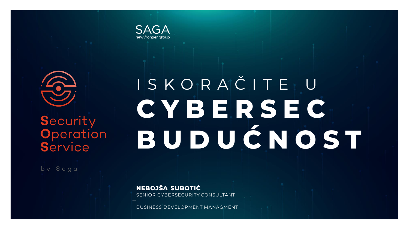

# Security **Operation** Service

by Saga

# I S K O R A Č I T E U **C Y B E R S E C B U D U Ć N O S T**

**NEBOJŠA SUBOTIĆ** SENIOR CYBERSECURITY CONSULTANT

BUSINESS DEVELOPMENT MANAGMENT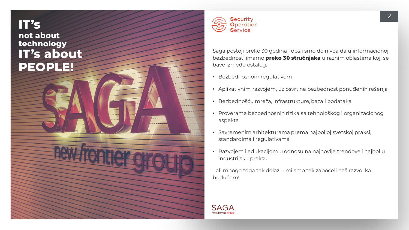# **IT's not about technology IT's about PEOPLE!**



Saga postoji preko 30 godina i došli smo do nivoa da u informacionoj bezbednosti imamo **preko 30 stručnjaka** u raznim oblastima koji se bave između ostalog:

- Bezbednosnom regulativom
- Aplikativnim razvojem, uz osvrt na bezbednost ponuđenih rešenja
- Bezbednošću mreža, infrastrukture, baza i podataka
- Proverama bezbednosnih rizika sa tehnološkog i organizacionog aspekta
- Savremenim arhitekturama prema najboljoj svetskoj praksi, standardima i regulativama
- Razvojem i edukacijom u odnosu na najnovije trendove i najbolju industrijsku praksu

...ali mnogo toga tek dolazi - mi smo tek započeli naš razvoj ka budućem!

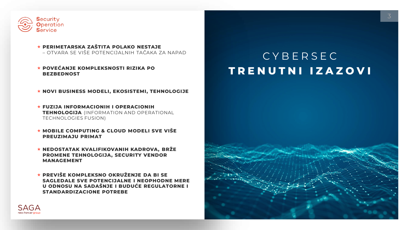

- **PERIMETARSKA ZAŠTITA POLAKO NESTAJE**  – OTVARA SE VIŠE POTENCIJALNIH TAČAKA ZA NAPAD
- **POVEĆANJE KOMPLEKSNOSTI RIZIKA PO BEZBEDNOST**

**NOVI BUSINESS MODELI, EKOSISTEMI, TEHNOLOGIJE**

- **FUZIJA INFORMACIONIH I OPERACIONIH TEHNOLOGIJA** (INFORMATION AND OPERATIONAL TECHNOLOGIES FUSION)
- **MOBILE COMPUTING & CLOUD MODELI SVE VIŠE PREUZIMAJU PRIMAT**
- **NEDOSTATAK KVALIFIKOVANIH KADROVA, BRŽE PROMENE TEHNOLOGIJA, SECURITY VENDOR MANAGEMENT**
- **PREVIŠE KOMPLEKSNO OKRUŽENJE DA BI SE SAGLEDALE SVE POTENCIJALNE I NEOPHODNE MERE U ODNOSU NA SADAŠNJE I BUDUĆE REGULATORNE I STANDARDIZACIONE POTREBE**

# C Y B E R S E C **T R E N U T N I I Z A Z O V I**



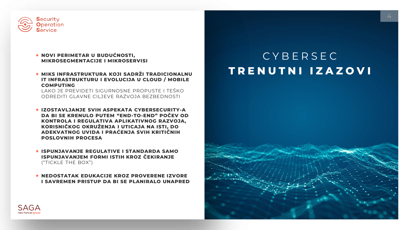

### **NOVI PERIMETAR U BUDUĆNOSTI, MIKROSEGMENTACIJE I MIKROSERVISI**

### $\star$  **MIKS INFRASTRUKTURA KOJI SADRŽI TRADICIONALNU IT INFRASTRUKTURU I EVOLUCIJA U CLOUD / MOBILE COMPUTING**

LAKO JE PREVIDETI SIGURNOSNE PROPUSTE I TEŠKO ODREDITI GLAVNE CILJEVE RAZVOJA BEZBEDNOSTI

- **IZOSTAVLJANJE SVIH ASPEKATA CYBERSECURITY-A DA BI SE KRENULO PUTEM "END-TO-END" POČEV OD KONTROLA I REGULATIVA APLIKATIVNOG RAZVOJA, KORISNIČKOG OKRUŽENJA I UTICAJA NA ISTI, DO ADEKVATNOG UVIDA I PRAĆENJA SVIH KRITIČNIH POSLOVNIH PROCESA**
- **ISPUNJAVANJE REGULATIVE I STANDARDA SAMO ISPUNJAVANJEM FORMI ISTIH KROZ ČEKIRANJE** ("TICKLE THE BOX")
- **NEDOSTATAK EDUKACIJE KROZ PROVERENE IZVORE I SAVREMEN PRISTUP DA BI SE PLANIRALO UNAPRED**

# C Y B E R S E C **T R E N U T N I I Z A Z O V I**



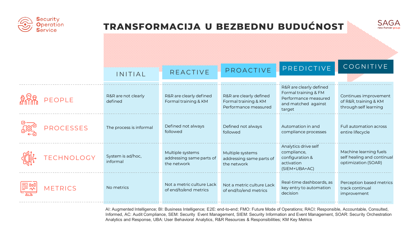

## **TRANSFORMACIJA U BEZBEDNU BUDUĆNOST**



|                  | INITIAL                        | <b>REACTIVE</b>                                             | PROACTIVE                                                               | PREDICTIVE                                                                                               | COGNITIVE                                                                   |
|------------------|--------------------------------|-------------------------------------------------------------|-------------------------------------------------------------------------|----------------------------------------------------------------------------------------------------------|-----------------------------------------------------------------------------|
| PEOPLE           | R&R are not clearly<br>defined | R&R are clearly defined<br>Formal training & KM             | R&R are clearly defined<br>Formal training & KM<br>Performance measured | R&R are clearly defined<br>Formal training & FM<br>Performance measured<br>and matched against<br>target | Continues improvement<br>of R&R, training & KM<br>through self learning     |
| <b>PROCESSES</b> | The process is informal        | Defined not always<br>followed                              | Defined not always<br>followed                                          | Automation in and<br>compliance processes                                                                | <b>Full automation across</b><br>entire lifecycle                           |
| TECHNOLOGY       | System is ad/hoc,<br>informal  | Multiple systems<br>addressing same parts of<br>the network | Multiple systems<br>addressing same parts of<br>the network             | Analytics drive self<br>compliance,<br>configuration &<br>activation<br>(SIEM+UBA+AC)                    | Machine learning fuels<br>self healing and continual<br>optimization (SOAR) |
| <b>METRICS</b>   | No metrics                     | Not a metric culture Lack<br>of end/to/end metrics          | Not a metric culture Lack<br>of end/to/end metrics                      | Real-time dashboards, as<br>key entry to automation<br>decision                                          | Perception based metrics<br>track continual<br>improvement                  |

AI: Augmented Intelligence; BI: Business Intelligence; E2E: end-to-end; FMO: Future Mode of Operations; RACI: Responsible, Accountable, Consulted, Informed, AC: Audit Compliance, SEM: Security Event Management, SIEM: Security Information and Event Management, SOAR: Security Orchestration Analytics and Response, UBA: User Behavioral Analytics, R&R Resources & Responsibilities; KM Key Metrics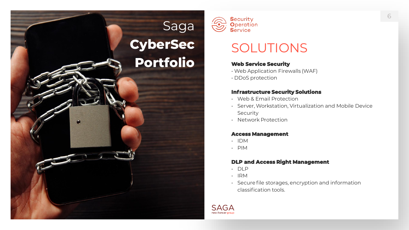# Saga **CyberSec Portfolio**



# SOLUTIONS

### **Web Service Security**

- Web Application Firewalls (WAF)
- DDoS protection

### **Infrastructure Security Solutions**

- Web & Email Protection
- Server, Workstation, Virtualization and Mobile Device Security
- Network Protection

### **Access Management**

- IDM
- PIM

### **DLP and Access Right Management**

- DLP
- IRM
- Secure file storages, encryption and information classification tools.

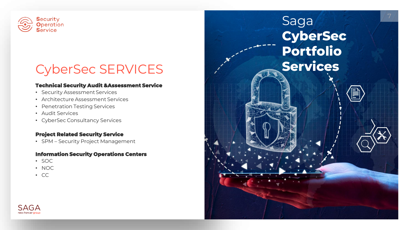

# CyberSec SERVICES

### **Technical Security Audit &Assessment Service**

- Security Assessment Services
- Architecture Assessment Services
- Penetration Testing Services
- Audit Services
- CyberSec Consultancy Services

### **Project Related Security Service**

• SPM – Security Project Management

### **Information Security Operations Centers**

- SOC
- NOC
- CC

# Saga **CyberSec Portfolio Services**

7